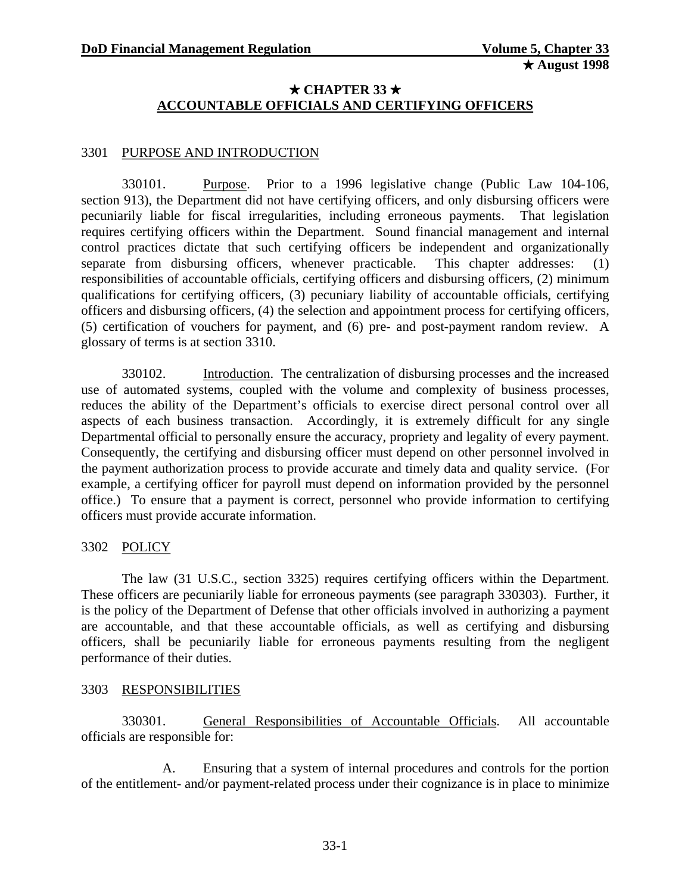### $\star$  CHAPTER 33  $\star$ **ACCOUNTABLE OFFICIALS AND CERTIFYING OFFICERS**

### <span id="page-0-0"></span>3301 PURPOSE AND INTRODUCTION

330101. Purpose. Prior to a 1996 legislative change (Public Law 104-106, section 913), the Department did not have certifying officers, and only disbursing officers were pecuniarily liable for fiscal irregularities, including erroneous payments. That legislation requires certifying officers within the Department. Sound financial management and internal control practices dictate that such certifying officers be independent and organizationally separate from disbursing officers, whenever practicable. This chapter addresses: (1) responsibilities of accountable officials, certifying officers and disbursing officers, (2) minimum qualifications for certifying officers, (3) pecuniary liability of accountable officials, certifying officers and disbursing officers, (4) the selection and appointment process for certifying officers, (5) certification of vouchers for payment, and (6) pre- and post-payment random review. A glossary of terms is at section 3310.

330102. Introduction. The centralization of disbursing processes and the increased use of automated systems, coupled with the volume and complexity of business processes, reduces the ability of the Department's officials to exercise direct personal control over all aspects of each business transaction. Accordingly, it is extremely difficult for any single Departmental official to personally ensure the accuracy, propriety and legality of every payment. Consequently, the certifying and disbursing officer must depend on other personnel involved in the payment authorization process to provide accurate and timely data and quality service. (For example, a certifying officer for payroll must depend on information provided by the personnel office.) To ensure that a payment is correct, personnel who provide information to certifying officers must provide accurate information.

#### 3302 POLICY

The law (31 U.S.C., section 3325) requires certifying officers within the Department. These officers are pecuniarily liable for erroneous payments (see paragraph 330303). Further, it is the policy of the Department of Defense that other officials involved in authorizing a payment are accountable, and that these accountable officials, as well as certifying and disbursing officers, shall be pecuniarily liable for erroneous payments resulting from the negligent performance of their duties.

#### 3303 RESPONSIBILITIES

330301. General Responsibilities of Accountable Officials. All accountable officials are responsible for:

A. Ensuring that a system of internal procedures and controls for the portion of the entitlement- and/or payment-related process under their cognizance is in place to minimize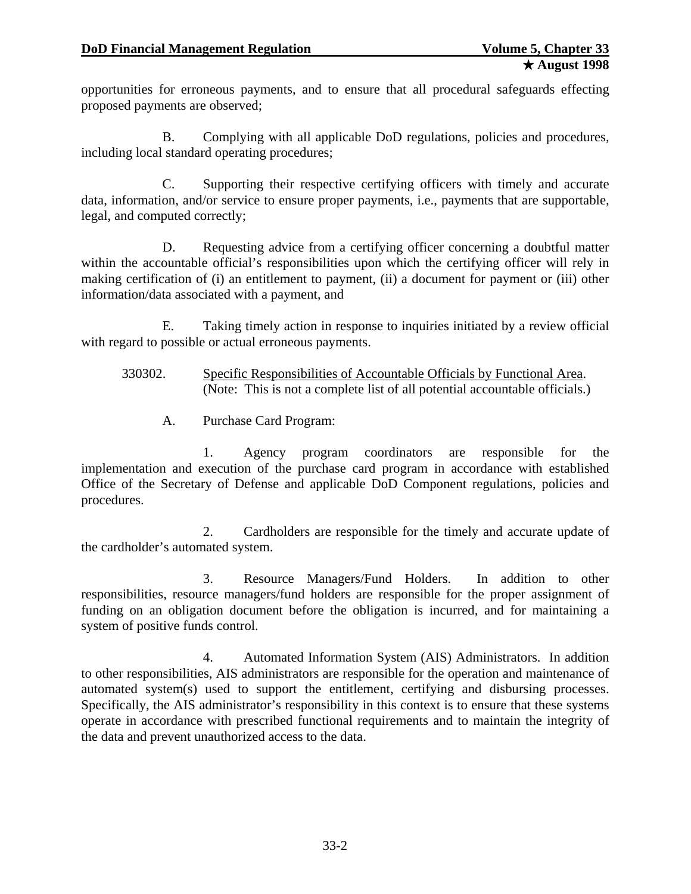opportunities for erroneous payments, and to ensure that all procedural safeguards effecting proposed payments are observed;

B. Complying with all applicable DoD regulations, policies and procedures, including local standard operating procedures;

C. Supporting their respective certifying officers with timely and accurate data, information, and/or service to ensure proper payments, i.e., payments that are supportable, legal, and computed correctly;

D. Requesting advice from a certifying officer concerning a doubtful matter within the accountable official's responsibilities upon which the certifying officer will rely in making certification of (i) an entitlement to payment, (ii) a document for payment or (iii) other information/data associated with a payment, and

E. Taking timely action in response to inquiries initiated by a review official with regard to possible or actual erroneous payments.

- 330302. Specific Responsibilities of Accountable Officials by Functional Area. (Note: This is not a complete list of all potential accountable officials.)
	- A. Purchase Card Program:

1. Agency program coordinators are responsible for the implementation and execution of the purchase card program in accordance with established Office of the Secretary of Defense and applicable DoD Component regulations, policies and procedures.

2. Cardholders are responsible for the timely and accurate update of the cardholder's automated system.

3. Resource Managers/Fund Holders. In addition to other responsibilities, resource managers/fund holders are responsible for the proper assignment of funding on an obligation document before the obligation is incurred, and for maintaining a system of positive funds control.

4. Automated Information System (AIS) Administrators. In addition to other responsibilities, AIS administrators are responsible for the operation and maintenance of automated system(s) used to support the entitlement, certifying and disbursing processes. Specifically, the AIS administrator's responsibility in this context is to ensure that these systems operate in accordance with prescribed functional requirements and to maintain the integrity of the data and prevent unauthorized access to the data.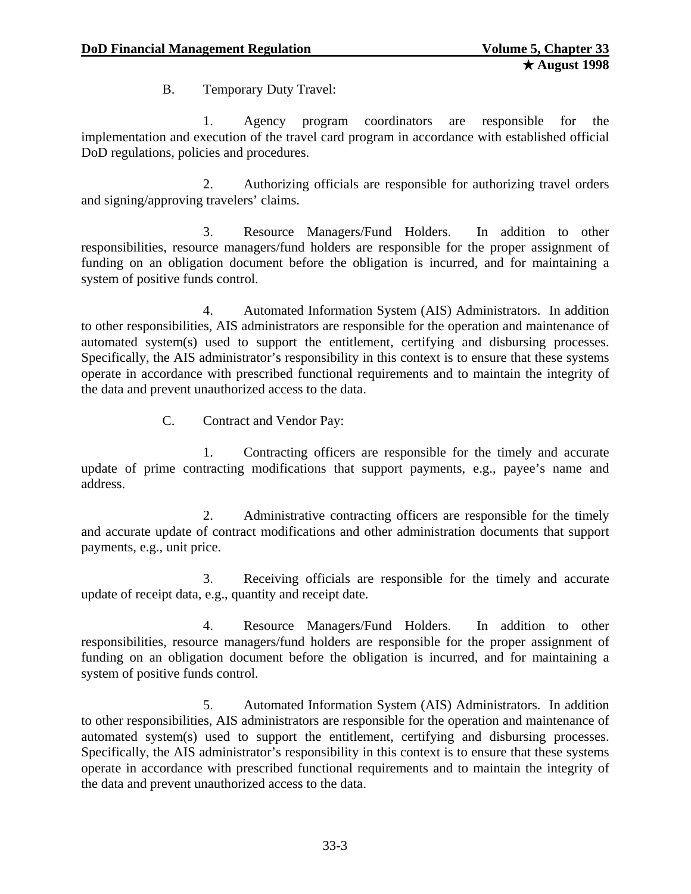B. Temporary Duty Travel:

1. Agency program coordinators are responsible for the implementation and execution of the travel card program in accordance with established official DoD regulations, policies and procedures.

2. Authorizing officials are responsible for authorizing travel orders and signing/approving travelers' claims.

3. Resource Managers/Fund Holders. In addition to other responsibilities, resource managers/fund holders are responsible for the proper assignment of funding on an obligation document before the obligation is incurred, and for maintaining a system of positive funds control.

4. Automated Information System (AIS) Administrators. In addition to other responsibilities, AIS administrators are responsible for the operation and maintenance of automated system(s) used to support the entitlement, certifying and disbursing processes. Specifically, the AIS administrator's responsibility in this context is to ensure that these systems operate in accordance with prescribed functional requirements and to maintain the integrity of the data and prevent unauthorized access to the data.

C. Contract and Vendor Pay:

1. Contracting officers are responsible for the timely and accurate update of prime contracting modifications that support payments, e.g., payee's name and address.

2. Administrative contracting officers are responsible for the timely and accurate update of contract modifications and other administration documents that support payments, e.g., unit price.

3. Receiving officials are responsible for the timely and accurate update of receipt data, e.g., quantity and receipt date.

4. Resource Managers/Fund Holders. In addition to other responsibilities, resource managers/fund holders are responsible for the proper assignment of funding on an obligation document before the obligation is incurred, and for maintaining a system of positive funds control.

5. Automated Information System (AIS) Administrators. In addition to other responsibilities, AIS administrators are responsible for the operation and maintenance of automated system(s) used to support the entitlement, certifying and disbursing processes. Specifically, the AIS administrator's responsibility in this context is to ensure that these systems operate in accordance with prescribed functional requirements and to maintain the integrity of the data and prevent unauthorized access to the data.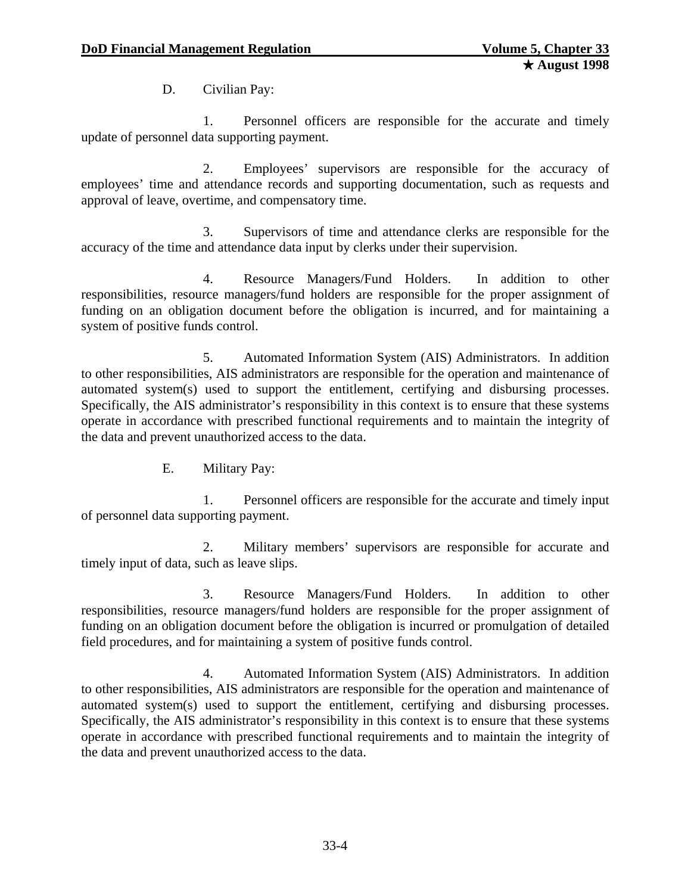D. Civilian Pay:

1. Personnel officers are responsible for the accurate and timely update of personnel data supporting payment.

2. Employees' supervisors are responsible for the accuracy of employees' time and attendance records and supporting documentation, such as requests and approval of leave, overtime, and compensatory time.

3. Supervisors of time and attendance clerks are responsible for the accuracy of the time and attendance data input by clerks under their supervision.

4. Resource Managers/Fund Holders. In addition to other responsibilities, resource managers/fund holders are responsible for the proper assignment of funding on an obligation document before the obligation is incurred, and for maintaining a system of positive funds control.

5. Automated Information System (AIS) Administrators. In addition to other responsibilities, AIS administrators are responsible for the operation and maintenance of automated system(s) used to support the entitlement, certifying and disbursing processes. Specifically, the AIS administrator's responsibility in this context is to ensure that these systems operate in accordance with prescribed functional requirements and to maintain the integrity of the data and prevent unauthorized access to the data.

E. Military Pay:

1. Personnel officers are responsible for the accurate and timely input of personnel data supporting payment.

2. Military members' supervisors are responsible for accurate and timely input of data, such as leave slips.

3. Resource Managers/Fund Holders. In addition to other responsibilities, resource managers/fund holders are responsible for the proper assignment of funding on an obligation document before the obligation is incurred or promulgation of detailed field procedures, and for maintaining a system of positive funds control.

4. Automated Information System (AIS) Administrators. In addition to other responsibilities, AIS administrators are responsible for the operation and maintenance of automated system(s) used to support the entitlement, certifying and disbursing processes. Specifically, the AIS administrator's responsibility in this context is to ensure that these systems operate in accordance with prescribed functional requirements and to maintain the integrity of the data and prevent unauthorized access to the data.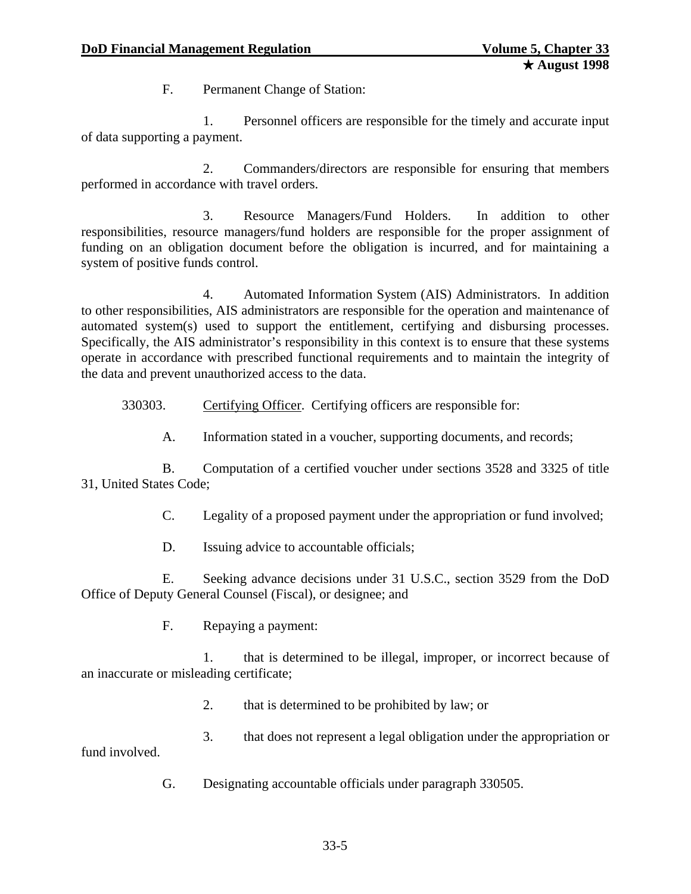F. Permanent Change of Station:

1. Personnel officers are responsible for the timely and accurate input of data supporting a payment.

2. Commanders/directors are responsible for ensuring that members performed in accordance with travel orders.

3. Resource Managers/Fund Holders. In addition to other responsibilities, resource managers/fund holders are responsible for the proper assignment of funding on an obligation document before the obligation is incurred, and for maintaining a system of positive funds control.

4. Automated Information System (AIS) Administrators. In addition to other responsibilities, AIS administrators are responsible for the operation and maintenance of automated system(s) used to support the entitlement, certifying and disbursing processes. Specifically, the AIS administrator's responsibility in this context is to ensure that these systems operate in accordance with prescribed functional requirements and to maintain the integrity of the data and prevent unauthorized access to the data.

330303. Certifying Officer. Certifying officers are responsible for:

A. Information stated in a voucher, supporting documents, and records;

B. Computation of a certified voucher under sections 3528 and 3325 of title 31, United States Code;

C. Legality of a proposed payment under the appropriation or fund involved;

D. Issuing advice to accountable officials;

E. Seeking advance decisions under 31 U.S.C., section 3529 from the DoD Office of Deputy General Counsel (Fiscal), or designee; and

F. Repaying a payment:

1. that is determined to be illegal, improper, or incorrect because of an inaccurate or misleading certificate;

2. that is determined to be prohibited by law; or

3. that does not represent a legal obligation under the appropriation or fund involved.

G. Designating accountable officials under paragraph 330505.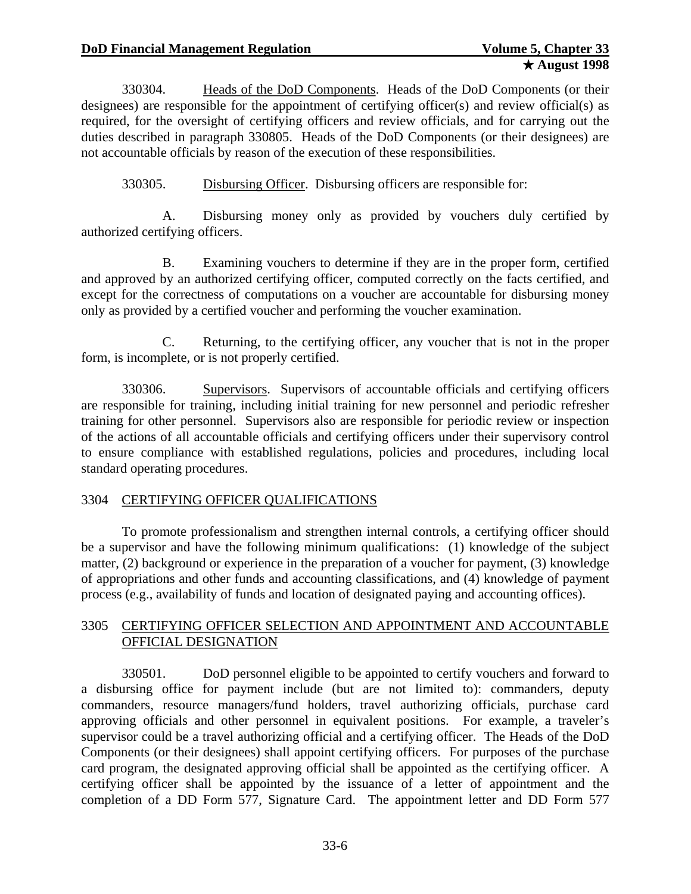330304. Heads of the DoD Components. Heads of the DoD Components (or their designees) are responsible for the appointment of certifying officer(s) and review official(s) as required, for the oversight of certifying officers and review officials, and for carrying out the duties described in paragraph 330805. Heads of the DoD Components (or their designees) are not accountable officials by reason of the execution of these responsibilities.

330305. Disbursing Officer. Disbursing officers are responsible for:

A. Disbursing money only as provided by vouchers duly certified by authorized certifying officers.

B. Examining vouchers to determine if they are in the proper form, certified and approved by an authorized certifying officer, computed correctly on the facts certified, and except for the correctness of computations on a voucher are accountable for disbursing money only as provided by a certified voucher and performing the voucher examination.

C. Returning, to the certifying officer, any voucher that is not in the proper form, is incomplete, or is not properly certified.

330306. Supervisors. Supervisors of accountable officials and certifying officers are responsible for training, including initial training for new personnel and periodic refresher training for other personnel. Supervisors also are responsible for periodic review or inspection of the actions of all accountable officials and certifying officers under their supervisory control to ensure compliance with established regulations, policies and procedures, including local standard operating procedures.

# 3304 CERTIFYING OFFICER QUALIFICATIONS

To promote professionalism and strengthen internal controls, a certifying officer should be a supervisor and have the following minimum qualifications: (1) knowledge of the subject matter, (2) background or experience in the preparation of a voucher for payment, (3) knowledge of appropriations and other funds and accounting classifications, and (4) knowledge of payment process (e.g., availability of funds and location of designated paying and accounting offices).

# 3305 CERTIFYING OFFICER SELECTION AND APPOINTMENT AND ACCOUNTABLE OFFICIAL DESIGNATION

330501. DoD personnel eligible to be appointed to certify vouchers and forward to a disbursing office for payment include (but are not limited to): commanders, deputy commanders, resource managers/fund holders, travel authorizing officials, purchase card approving officials and other personnel in equivalent positions. For example, a traveler's supervisor could be a travel authorizing official and a certifying officer. The Heads of the DoD Components (or their designees) shall appoint certifying officers. For purposes of the purchase card program, the designated approving official shall be appointed as the certifying officer. A certifying officer shall be appointed by the issuance of a letter of appointment and the completion of a DD Form 577, Signature Card. The appointment letter and DD Form 577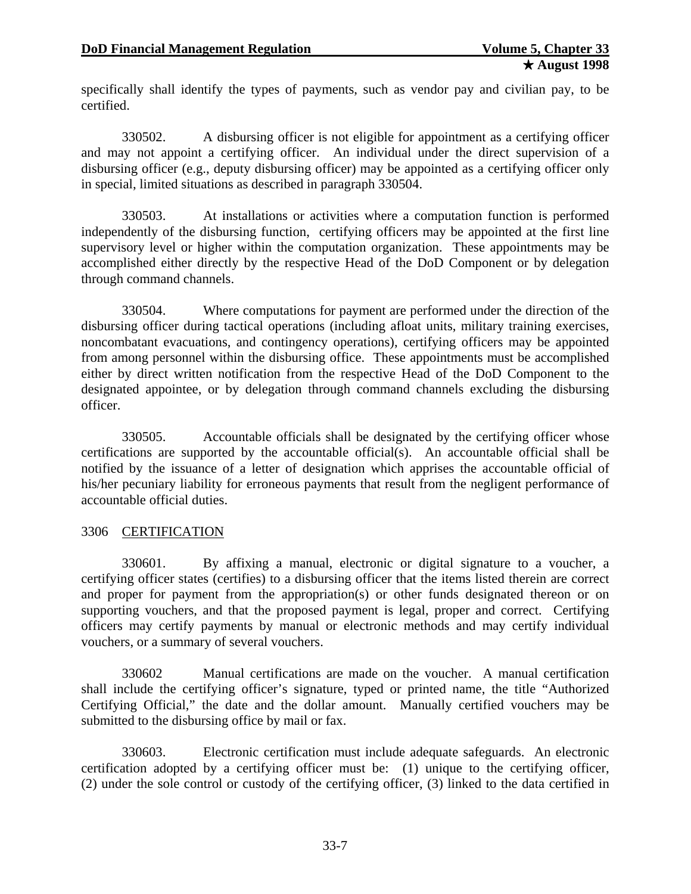specifically shall identify the types of payments, such as vendor pay and civilian pay, to be certified.

330502. A disbursing officer is not eligible for appointment as a certifying officer and may not appoint a certifying officer. An individual under the direct supervision of a disbursing officer (e.g., deputy disbursing officer) may be appointed as a certifying officer only in special, limited situations as described in paragraph 330504.

330503. At installations or activities where a computation function is performed independently of the disbursing function, certifying officers may be appointed at the first line supervisory level or higher within the computation organization. These appointments may be accomplished either directly by the respective Head of the DoD Component or by delegation through command channels.

330504. Where computations for payment are performed under the direction of the disbursing officer during tactical operations (including afloat units, military training exercises, noncombatant evacuations, and contingency operations), certifying officers may be appointed from among personnel within the disbursing office. These appointments must be accomplished either by direct written notification from the respective Head of the DoD Component to the designated appointee, or by delegation through command channels excluding the disbursing officer.

330505. Accountable officials shall be designated by the certifying officer whose certifications are supported by the accountable official(s). An accountable official shall be notified by the issuance of a letter of designation which apprises the accountable official of his/her pecuniary liability for erroneous payments that result from the negligent performance of accountable official duties.

# 3306 CERTIFICATION

330601. By affixing a manual, electronic or digital signature to a voucher, a certifying officer states (certifies) to a disbursing officer that the items listed therein are correct and proper for payment from the appropriation(s) or other funds designated thereon or on supporting vouchers, and that the proposed payment is legal, proper and correct. Certifying officers may certify payments by manual or electronic methods and may certify individual vouchers, or a summary of several vouchers.

330602 Manual certifications are made on the voucher. A manual certification shall include the certifying officer's signature, typed or printed name, the title "Authorized Certifying Official," the date and the dollar amount. Manually certified vouchers may be submitted to the disbursing office by mail or fax.

330603. Electronic certification must include adequate safeguards. An electronic certification adopted by a certifying officer must be: (1) unique to the certifying officer, (2) under the sole control or custody of the certifying officer, (3) linked to the data certified in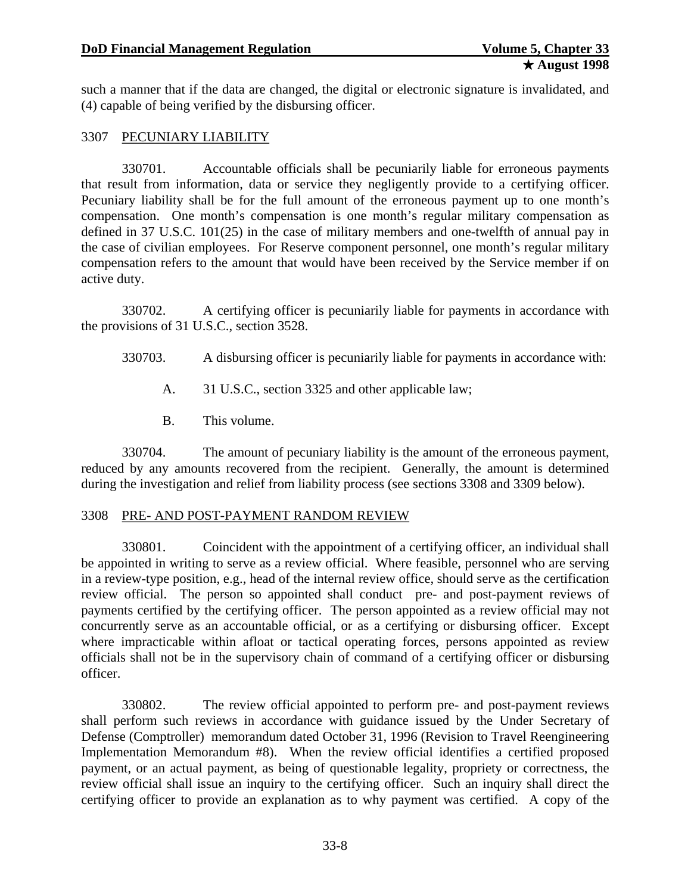such a manner that if the data are changed, the digital or electronic signature is invalidated, and (4) capable of being verified by the disbursing officer.

### 3307 PECUNIARY LIABILITY

330701. Accountable officials shall be pecuniarily liable for erroneous payments that result from information, data or service they negligently provide to a certifying officer. Pecuniary liability shall be for the full amount of the erroneous payment up to one month's compensation. One month's compensation is one month's regular military compensation as defined in 37 U.S.C. 101(25) in the case of military members and one-twelfth of annual pay in the case of civilian employees. For Reserve component personnel, one month's regular military compensation refers to the amount that would have been received by the Service member if on active duty.

330702. A certifying officer is pecuniarily liable for payments in accordance with the provisions of 31 U.S.C., section 3528.

- 330703. A disbursing officer is pecuniarily liable for payments in accordance with:
	- A. 31 U.S.C., section 3325 and other applicable law;
	- B. This volume.

330704. The amount of pecuniary liability is the amount of the erroneous payment, reduced by any amounts recovered from the recipient. Generally, the amount is determined during the investigation and relief from liability process (see sections 3308 and 3309 below).

#### 3308 PRE- AND POST-PAYMENT RANDOM REVIEW

330801. Coincident with the appointment of a certifying officer, an individual shall be appointed in writing to serve as a review official. Where feasible, personnel who are serving in a review-type position, e.g., head of the internal review office, should serve as the certification review official. The person so appointed shall conduct pre- and post-payment reviews of payments certified by the certifying officer. The person appointed as a review official may not concurrently serve as an accountable official, or as a certifying or disbursing officer. Except where impracticable within afloat or tactical operating forces, persons appointed as review officials shall not be in the supervisory chain of command of a certifying officer or disbursing officer.

330802. The review official appointed to perform pre- and post-payment reviews shall perform such reviews in accordance with guidance issued by the Under Secretary of Defense (Comptroller) memorandum dated October 31, 1996 (Revision to Travel Reengineering Implementation Memorandum #8). When the review official identifies a certified proposed payment, or an actual payment, as being of questionable legality, propriety or correctness, the review official shall issue an inquiry to the certifying officer. Such an inquiry shall direct the certifying officer to provide an explanation as to why payment was certified. A copy of the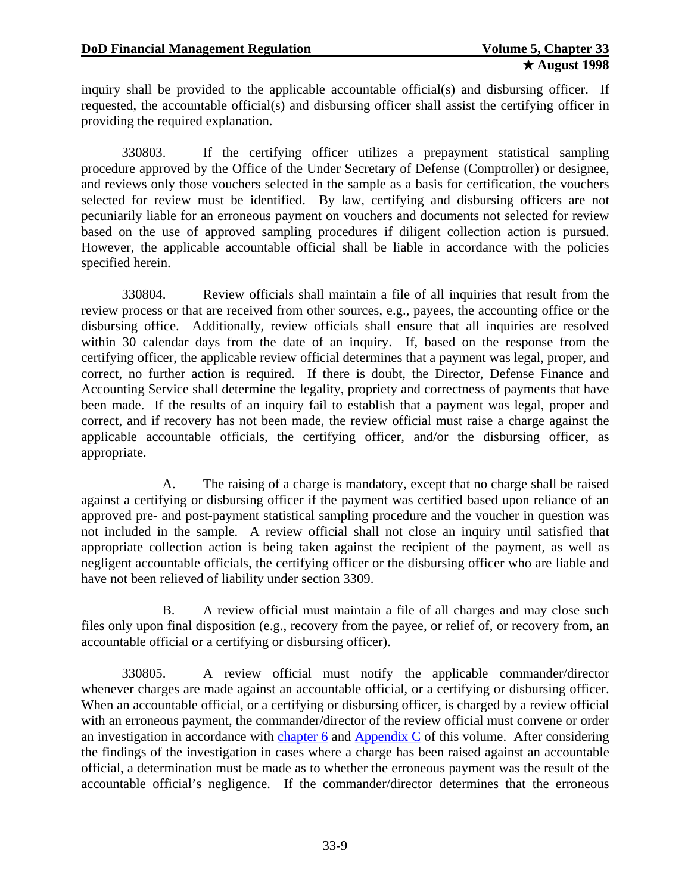inquiry shall be provided to the applicable accountable official(s) and disbursing officer. If requested, the accountable official(s) and disbursing officer shall assist the certifying officer in providing the required explanation.

330803. If the certifying officer utilizes a prepayment statistical sampling procedure approved by the Office of the Under Secretary of Defense (Comptroller) or designee, and reviews only those vouchers selected in the sample as a basis for certification, the vouchers selected for review must be identified. By law, certifying and disbursing officers are not pecuniarily liable for an erroneous payment on vouchers and documents not selected for review based on the use of approved sampling procedures if diligent collection action is pursued. However, the applicable accountable official shall be liable in accordance with the policies specified herein.

330804. Review officials shall maintain a file of all inquiries that result from the review process or that are received from other sources, e.g., payees, the accounting office or the disbursing office. Additionally, review officials shall ensure that all inquiries are resolved within 30 calendar days from the date of an inquiry. If, based on the response from the certifying officer, the applicable review official determines that a payment was legal, proper, and correct, no further action is required. If there is doubt, the Director, Defense Finance and Accounting Service shall determine the legality, propriety and correctness of payments that have been made. If the results of an inquiry fail to establish that a payment was legal, proper and correct, and if recovery has not been made, the review official must raise a charge against the applicable accountable officials, the certifying officer, and/or the disbursing officer, as appropriate.

A. The raising of a charge is mandatory, except that no charge shall be raised against a certifying or disbursing officer if the payment was certified based upon reliance of an approved pre- and post-payment statistical sampling procedure and the voucher in question was not included in the sample. A review official shall not close an inquiry until satisfied that appropriate collection action is being taken against the recipient of the payment, as well as negligent accountable officials, the certifying officer or the disbursing officer who are liable and have not been relieved of liability under section 3309.

B. A review official must maintain a file of all charges and may close such files only upon final disposition (e.g., recovery from the payee, or relief of, or recovery from, an accountable official or a certifying or disbursing officer).

330805. A review official must notify the applicable commander/director whenever charges are made against an accountable official, or a certifying or disbursing officer. When an accountable official, or a certifying or disbursing officer, is charged by a review official with an erroneous payment, the commander/director of the review official must convene or order an investigation in accordance with [chapter 6](#page-0-0) and Appendix  $C$  of this volume. After considering the findings of the investigation in cases where a charge has been raised against an accountable official, a determination must be made as to whether the erroneous payment was the result of the accountable official's negligence. If the commander/director determines that the erroneous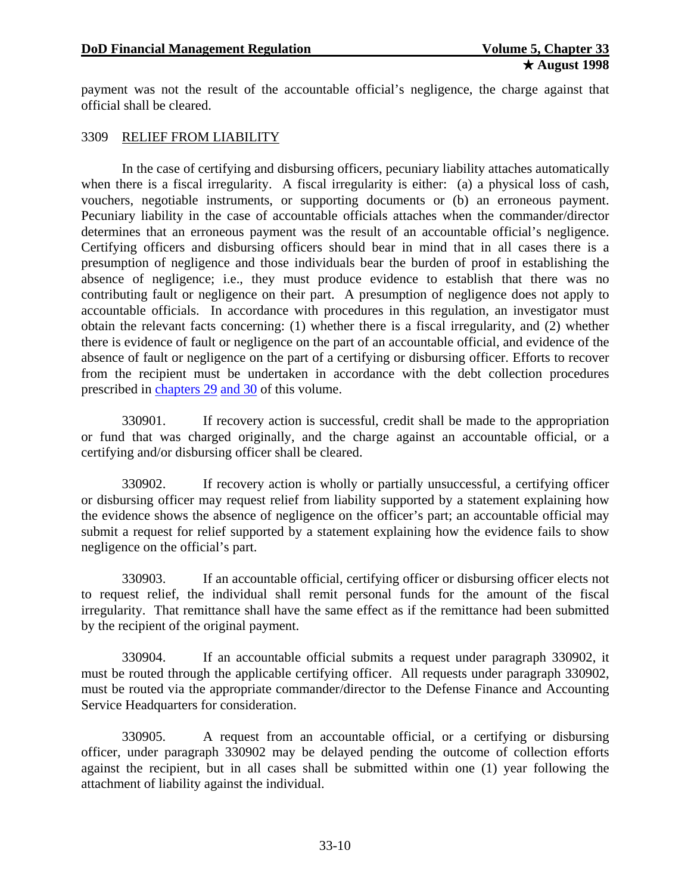payment was not the result of the accountable official's negligence, the charge against that official shall be cleared.

#### 3309 RELIEF FROM LIABILITY

In the case of certifying and disbursing officers, pecuniary liability attaches automatically when there is a fiscal irregularity. A fiscal irregularity is either: (a) a physical loss of cash, vouchers, negotiable instruments, or supporting documents or (b) an erroneous payment. Pecuniary liability in the case of accountable officials attaches when the commander/director determines that an erroneous payment was the result of an accountable official's negligence. Certifying officers and disbursing officers should bear in mind that in all cases there is a presumption of negligence and those individuals bear the burden of proof in establishing the absence of negligence; i.e., they must produce evidence to establish that there was no contributing fault or negligence on their part. A presumption of negligence does not apply to accountable officials. In accordance with procedures in this regulation, an investigator must obtain the relevant facts concerning: (1) whether there is a fiscal irregularity, and (2) whether there is evidence of fault or negligence on the part of an accountable official, and evidence of the absence of fault or negligence on the part of a certifying or disbursing officer. Efforts to recover from the recipient must be undertaken in accordance with the debt collection procedures prescribed in [chapters 29 and 30](#page-0-0) of this volume.

330901. If recovery action is successful, credit shall be made to the appropriation or fund that was charged originally, and the charge against an accountable official, or a certifying and/or disbursing officer shall be cleared.

330902. If recovery action is wholly or partially unsuccessful, a certifying officer or disbursing officer may request relief from liability supported by a statement explaining how the evidence shows the absence of negligence on the officer's part; an accountable official may submit a request for relief supported by a statement explaining how the evidence fails to show negligence on the official's part.

330903. If an accountable official, certifying officer or disbursing officer elects not to request relief, the individual shall remit personal funds for the amount of the fiscal irregularity. That remittance shall have the same effect as if the remittance had been submitted by the recipient of the original payment.

330904. If an accountable official submits a request under paragraph 330902, it must be routed through the applicable certifying officer. All requests under paragraph 330902, must be routed via the appropriate commander/director to the Defense Finance and Accounting Service Headquarters for consideration.

330905. A request from an accountable official, or a certifying or disbursing officer, under paragraph 330902 may be delayed pending the outcome of collection efforts against the recipient, but in all cases shall be submitted within one (1) year following the attachment of liability against the individual.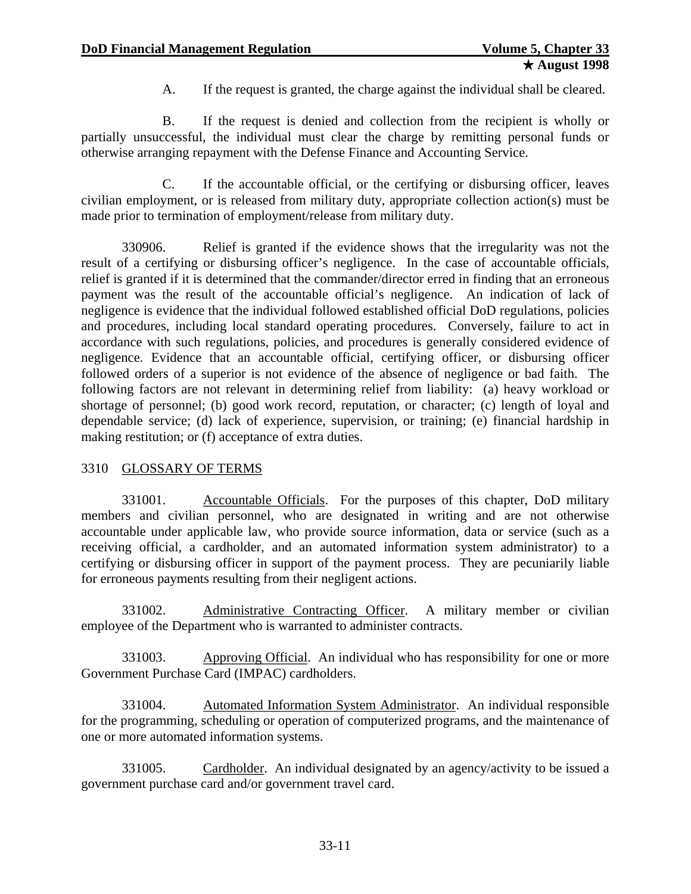A. If the request is granted, the charge against the individual shall be cleared.

B. If the request is denied and collection from the recipient is wholly or partially unsuccessful, the individual must clear the charge by remitting personal funds or otherwise arranging repayment with the Defense Finance and Accounting Service.

C. If the accountable official, or the certifying or disbursing officer, leaves civilian employment, or is released from military duty, appropriate collection action(s) must be made prior to termination of employment/release from military duty.

330906. Relief is granted if the evidence shows that the irregularity was not the result of a certifying or disbursing officer's negligence. In the case of accountable officials, relief is granted if it is determined that the commander/director erred in finding that an erroneous payment was the result of the accountable official's negligence. An indication of lack of negligence is evidence that the individual followed established official DoD regulations, policies and procedures, including local standard operating procedures. Conversely, failure to act in accordance with such regulations, policies, and procedures is generally considered evidence of negligence. Evidence that an accountable official, certifying officer, or disbursing officer followed orders of a superior is not evidence of the absence of negligence or bad faith. The following factors are not relevant in determining relief from liability: (a) heavy workload or shortage of personnel; (b) good work record, reputation, or character; (c) length of loyal and dependable service; (d) lack of experience, supervision, or training; (e) financial hardship in making restitution; or (f) acceptance of extra duties.

# 3310 GLOSSARY OF TERMS

331001. Accountable Officials. For the purposes of this chapter, DoD military members and civilian personnel, who are designated in writing and are not otherwise accountable under applicable law, who provide source information, data or service (such as a receiving official, a cardholder, and an automated information system administrator) to a certifying or disbursing officer in support of the payment process. They are pecuniarily liable for erroneous payments resulting from their negligent actions.

331002. Administrative Contracting Officer. A military member or civilian employee of the Department who is warranted to administer contracts.

331003. Approving Official. An individual who has responsibility for one or more Government Purchase Card (IMPAC) cardholders.

331004. Automated Information System Administrator. An individual responsible for the programming, scheduling or operation of computerized programs, and the maintenance of one or more automated information systems.

331005. Cardholder. An individual designated by an agency/activity to be issued a government purchase card and/or government travel card.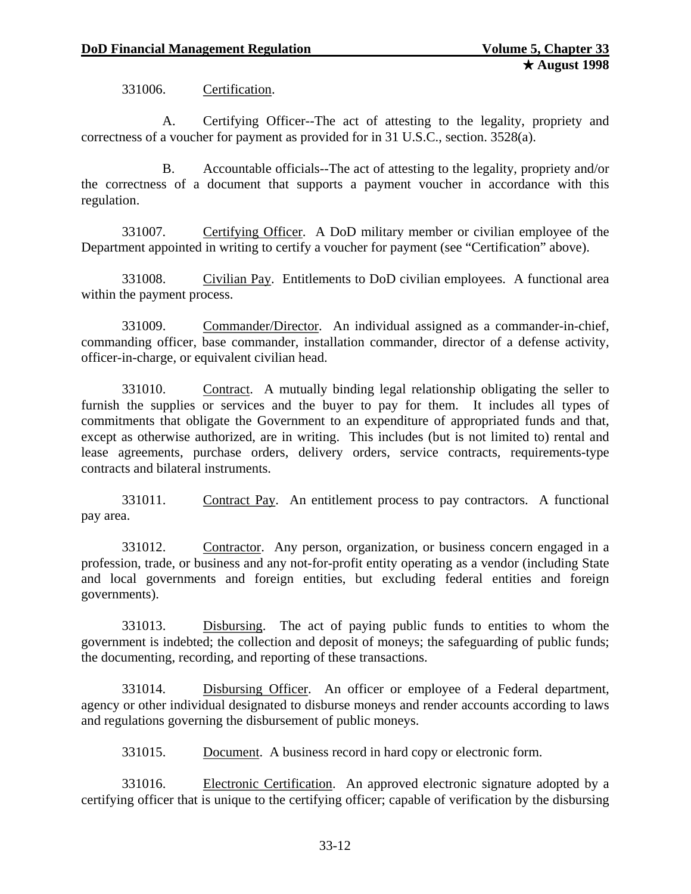331006. Certification.

A. Certifying Officer--The act of attesting to the legality, propriety and correctness of a voucher for payment as provided for in 31 U.S.C., section. 3528(a).

B. Accountable officials--The act of attesting to the legality, propriety and/or the correctness of a document that supports a payment voucher in accordance with this regulation.

331007. Certifying Officer. A DoD military member or civilian employee of the Department appointed in writing to certify a voucher for payment (see "Certification" above).

331008. Civilian Pay. Entitlements to DoD civilian employees. A functional area within the payment process.

331009. Commander/Director. An individual assigned as a commander-in-chief, commanding officer, base commander, installation commander, director of a defense activity, officer-in-charge, or equivalent civilian head.

331010. Contract. A mutually binding legal relationship obligating the seller to furnish the supplies or services and the buyer to pay for them. It includes all types of commitments that obligate the Government to an expenditure of appropriated funds and that, except as otherwise authorized, are in writing. This includes (but is not limited to) rental and lease agreements, purchase orders, delivery orders, service contracts, requirements-type contracts and bilateral instruments.

331011. Contract Pay. An entitlement process to pay contractors. A functional pay area.

331012. Contractor. Any person, organization, or business concern engaged in a profession, trade, or business and any not-for-profit entity operating as a vendor (including State and local governments and foreign entities, but excluding federal entities and foreign governments).

331013. Disbursing. The act of paying public funds to entities to whom the government is indebted; the collection and deposit of moneys; the safeguarding of public funds; the documenting, recording, and reporting of these transactions.

331014. Disbursing Officer. An officer or employee of a Federal department, agency or other individual designated to disburse moneys and render accounts according to laws and regulations governing the disbursement of public moneys.

331015. Document. A business record in hard copy or electronic form.

331016. Electronic Certification. An approved electronic signature adopted by a certifying officer that is unique to the certifying officer; capable of verification by the disbursing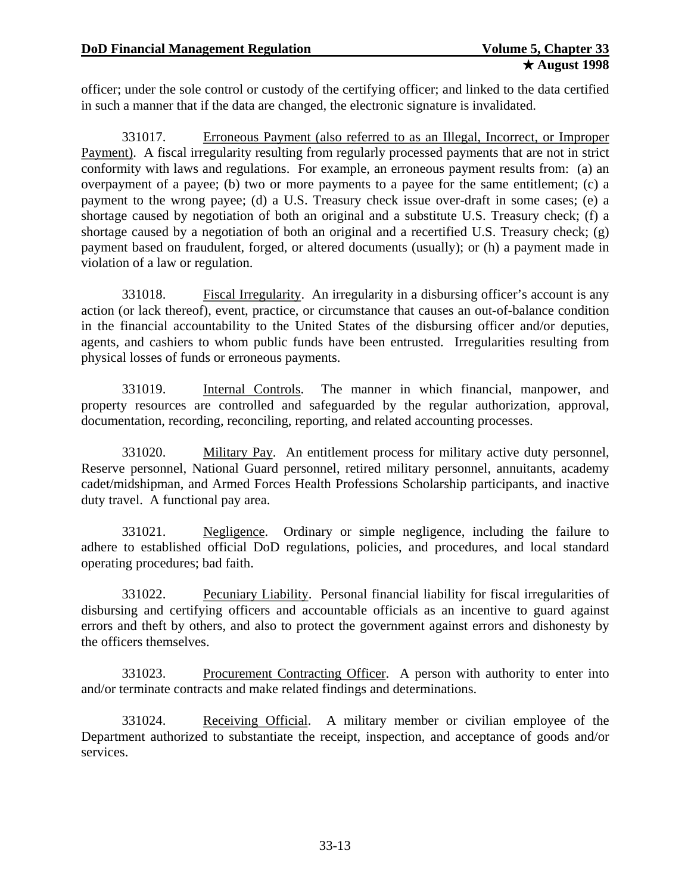officer; under the sole control or custody of the certifying officer; and linked to the data certified in such a manner that if the data are changed, the electronic signature is invalidated.

331017. Erroneous Payment (also referred to as an Illegal, Incorrect, or Improper Payment). A fiscal irregularity resulting from regularly processed payments that are not in strict conformity with laws and regulations. For example, an erroneous payment results from: (a) an overpayment of a payee; (b) two or more payments to a payee for the same entitlement; (c) a payment to the wrong payee; (d) a U.S. Treasury check issue over-draft in some cases; (e) a shortage caused by negotiation of both an original and a substitute U.S. Treasury check; (f) a shortage caused by a negotiation of both an original and a recertified U.S. Treasury check;  $(g)$ payment based on fraudulent, forged, or altered documents (usually); or (h) a payment made in violation of a law or regulation.

331018. Fiscal Irregularity. An irregularity in a disbursing officer's account is any action (or lack thereof), event, practice, or circumstance that causes an out-of-balance condition in the financial accountability to the United States of the disbursing officer and/or deputies, agents, and cashiers to whom public funds have been entrusted. Irregularities resulting from physical losses of funds or erroneous payments.

331019. Internal Controls. The manner in which financial, manpower, and property resources are controlled and safeguarded by the regular authorization, approval, documentation, recording, reconciling, reporting, and related accounting processes.

331020. Military Pay. An entitlement process for military active duty personnel, Reserve personnel, National Guard personnel, retired military personnel, annuitants, academy cadet/midshipman, and Armed Forces Health Professions Scholarship participants, and inactive duty travel. A functional pay area.

331021. Negligence. Ordinary or simple negligence, including the failure to adhere to established official DoD regulations, policies, and procedures, and local standard operating procedures; bad faith.

331022. Pecuniary Liability. Personal financial liability for fiscal irregularities of disbursing and certifying officers and accountable officials as an incentive to guard against errors and theft by others, and also to protect the government against errors and dishonesty by the officers themselves.

331023. Procurement Contracting Officer. A person with authority to enter into and/or terminate contracts and make related findings and determinations.

331024. Receiving Official. A military member or civilian employee of the Department authorized to substantiate the receipt, inspection, and acceptance of goods and/or services.